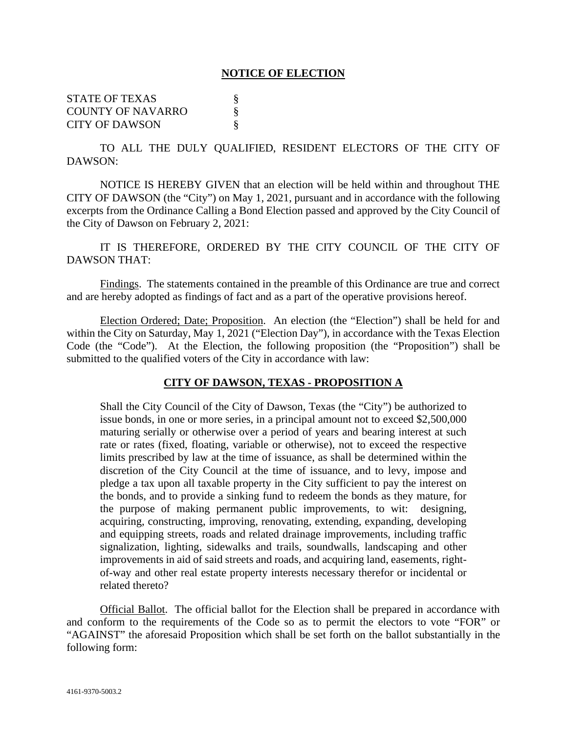### **NOTICE OF ELECTION**

STATE OF TEXAS  $\S$ COUNTY OF NAVARRO § CITY OF DAWSON §

TO ALL THE DULY QUALIFIED, RESIDENT ELECTORS OF THE CITY OF DAWSON:

NOTICE IS HEREBY GIVEN that an election will be held within and throughout THE CITY OF DAWSON (the "City") on May 1, 2021, pursuant and in accordance with the following excerpts from the Ordinance Calling a Bond Election passed and approved by the City Council of the City of Dawson on February 2, 2021:

IT IS THEREFORE, ORDERED BY THE CITY COUNCIL OF THE CITY OF DAWSON THAT:

Findings. The statements contained in the preamble of this Ordinance are true and correct and are hereby adopted as findings of fact and as a part of the operative provisions hereof.

Election Ordered; Date; Proposition. An election (the "Election") shall be held for and within the City on Saturday, May 1, 2021 ("Election Day"), in accordance with the Texas Election Code (the "Code"). At the Election, the following proposition (the "Proposition") shall be submitted to the qualified voters of the City in accordance with law:

### **CITY OF DAWSON, TEXAS - PROPOSITION A**

Shall the City Council of the City of Dawson, Texas (the "City") be authorized to issue bonds, in one or more series, in a principal amount not to exceed \$2,500,000 maturing serially or otherwise over a period of years and bearing interest at such rate or rates (fixed, floating, variable or otherwise), not to exceed the respective limits prescribed by law at the time of issuance, as shall be determined within the discretion of the City Council at the time of issuance, and to levy, impose and pledge a tax upon all taxable property in the City sufficient to pay the interest on the bonds, and to provide a sinking fund to redeem the bonds as they mature, for the purpose of making permanent public improvements, to wit: designing, acquiring, constructing, improving, renovating, extending, expanding, developing and equipping streets, roads and related drainage improvements, including traffic signalization, lighting, sidewalks and trails, soundwalls, landscaping and other improvements in aid of said streets and roads, and acquiring land, easements, rightof-way and other real estate property interests necessary therefor or incidental or related thereto?

Official Ballot. The official ballot for the Election shall be prepared in accordance with and conform to the requirements of the Code so as to permit the electors to vote "FOR" or "AGAINST" the aforesaid Proposition which shall be set forth on the ballot substantially in the following form: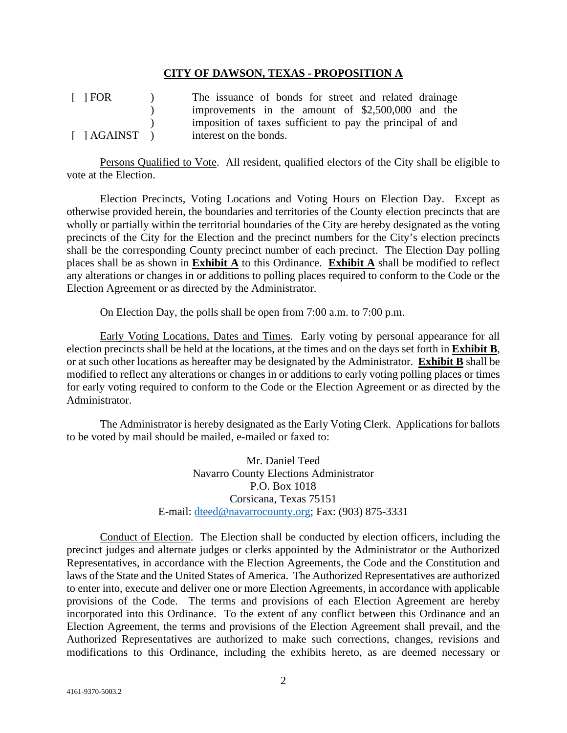### **CITY OF DAWSON, TEXAS - PROPOSITION A**

[ ] FOR [ ] AGAINST )  $\mathcal{L}$ )  $\lambda$ The issuance of bonds for street and related drainage improvements in the amount of \$2,500,000 and the imposition of taxes sufficient to pay the principal of and interest on the bonds.

Persons Qualified to Vote. All resident, qualified electors of the City shall be eligible to vote at the Election.

Election Precincts, Voting Locations and Voting Hours on Election Day. Except as otherwise provided herein, the boundaries and territories of the County election precincts that are wholly or partially within the territorial boundaries of the City are hereby designated as the voting precincts of the City for the Election and the precinct numbers for the City's election precincts shall be the corresponding County precinct number of each precinct. The Election Day polling places shall be as shown in **Exhibit A** to this Ordinance. **Exhibit A** shall be modified to reflect any alterations or changes in or additions to polling places required to conform to the Code or the Election Agreement or as directed by the Administrator.

On Election Day, the polls shall be open from 7:00 a.m. to 7:00 p.m.

Early Voting Locations, Dates and Times. Early voting by personal appearance for all election precincts shall be held at the locations, at the times and on the days set forth in **Exhibit B**, or at such other locations as hereafter may be designated by the Administrator. **Exhibit B** shall be modified to reflect any alterations or changes in or additions to early voting polling places or times for early voting required to conform to the Code or the Election Agreement or as directed by the Administrator.

The Administrator is hereby designated as the Early Voting Clerk. Applications for ballots to be voted by mail should be mailed, e-mailed or faxed to:

> Mr. Daniel Teed Navarro County Elections Administrator P.O. Box 1018 Corsicana, Texas 75151 E-mail: dteed@navarrocounty.org; Fax: (903) 875-3331

Conduct of Election. The Election shall be conducted by election officers, including the precinct judges and alternate judges or clerks appointed by the Administrator or the Authorized Representatives, in accordance with the Election Agreements, the Code and the Constitution and laws of the State and the United States of America. The Authorized Representatives are authorized to enter into, execute and deliver one or more Election Agreements, in accordance with applicable provisions of the Code. The terms and provisions of each Election Agreement are hereby incorporated into this Ordinance. To the extent of any conflict between this Ordinance and an Election Agreement, the terms and provisions of the Election Agreement shall prevail, and the Authorized Representatives are authorized to make such corrections, changes, revisions and modifications to this Ordinance, including the exhibits hereto, as are deemed necessary or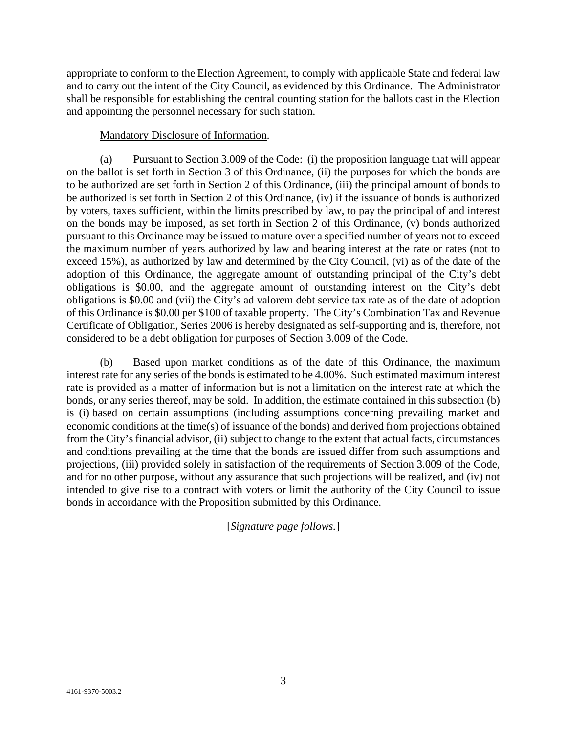appropriate to conform to the Election Agreement, to comply with applicable State and federal law and to carry out the intent of the City Council, as evidenced by this Ordinance. The Administrator shall be responsible for establishing the central counting station for the ballots cast in the Election and appointing the personnel necessary for such station.

### Mandatory Disclosure of Information.

(a) Pursuant to Section 3.009 of the Code: (i) the proposition language that will appear on the ballot is set forth in Section 3 of this Ordinance, (ii) the purposes for which the bonds are to be authorized are set forth in Section 2 of this Ordinance, (iii) the principal amount of bonds to be authorized is set forth in Section 2 of this Ordinance, (iv) if the issuance of bonds is authorized by voters, taxes sufficient, within the limits prescribed by law, to pay the principal of and interest on the bonds may be imposed, as set forth in Section 2 of this Ordinance, (v) bonds authorized pursuant to this Ordinance may be issued to mature over a specified number of years not to exceed the maximum number of years authorized by law and bearing interest at the rate or rates (not to exceed 15%), as authorized by law and determined by the City Council, (vi) as of the date of the adoption of this Ordinance, the aggregate amount of outstanding principal of the City's debt obligations is \$0.00, and the aggregate amount of outstanding interest on the City's debt obligations is \$0.00 and (vii) the City's ad valorem debt service tax rate as of the date of adoption of this Ordinance is \$0.00 per \$100 of taxable property. The City's Combination Tax and Revenue Certificate of Obligation, Series 2006 is hereby designated as self-supporting and is, therefore, not considered to be a debt obligation for purposes of Section 3.009 of the Code.

(b) Based upon market conditions as of the date of this Ordinance, the maximum interest rate for any series of the bonds is estimated to be 4.00%. Such estimated maximum interest rate is provided as a matter of information but is not a limitation on the interest rate at which the bonds, or any series thereof, may be sold. In addition, the estimate contained in this subsection (b) is (i) based on certain assumptions (including assumptions concerning prevailing market and economic conditions at the time(s) of issuance of the bonds) and derived from projections obtained from the City's financial advisor, (ii) subject to change to the extent that actual facts, circumstances and conditions prevailing at the time that the bonds are issued differ from such assumptions and projections, (iii) provided solely in satisfaction of the requirements of Section 3.009 of the Code, and for no other purpose, without any assurance that such projections will be realized, and (iv) not intended to give rise to a contract with voters or limit the authority of the City Council to issue bonds in accordance with the Proposition submitted by this Ordinance.

[*Signature page follows.*]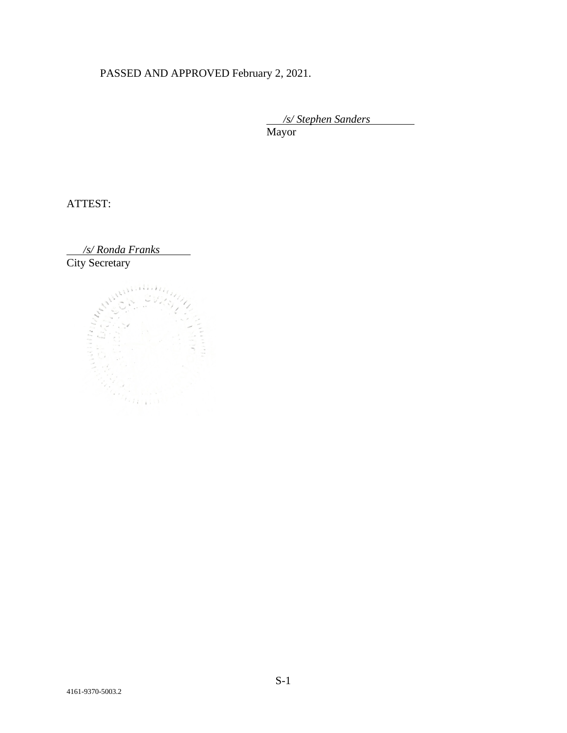# PASSED AND APPROVED February 2, 2021.

 */s/ Stephen Sanders* Mayor

ATTEST:

*/s/ Ronda Franks* 

City Secretary

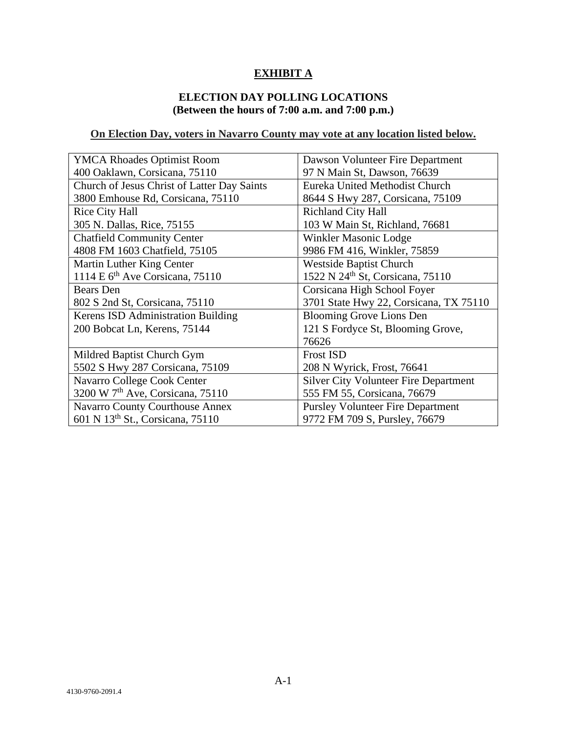# **EXHIBIT A**

# **ELECTION DAY POLLING LOCATIONS (Between the hours of 7:00 a.m. and 7:00 p.m.)**

# **On Election Day, voters in Navarro County may vote at any location listed below.**

| <b>YMCA Rhoades Optimist Room</b>            | Dawson Volunteer Fire Department             |
|----------------------------------------------|----------------------------------------------|
| 400 Oaklawn, Corsicana, 75110                | 97 N Main St, Dawson, 76639                  |
| Church of Jesus Christ of Latter Day Saints  | Eureka United Methodist Church               |
| 3800 Emhouse Rd, Corsicana, 75110            | 8644 S Hwy 287, Corsicana, 75109             |
| <b>Rice City Hall</b>                        | <b>Richland City Hall</b>                    |
| 305 N. Dallas, Rice, 75155                   | 103 W Main St, Richland, 76681               |
| <b>Chatfield Community Center</b>            | Winkler Masonic Lodge                        |
| 4808 FM 1603 Chatfield, 75105                | 9986 FM 416, Winkler, 75859                  |
| Martin Luther King Center                    | <b>Westside Baptist Church</b>               |
| 1114 E 6 <sup>th</sup> Ave Corsicana, 75110  | 1522 N 24 <sup>th</sup> St, Corsicana, 75110 |
| <b>Bears</b> Den                             | Corsicana High School Foyer                  |
| 802 S 2nd St, Corsicana, 75110               | 3701 State Hwy 22, Corsicana, TX 75110       |
| Kerens ISD Administration Building           | <b>Blooming Grove Lions Den</b>              |
| 200 Bobcat Ln, Kerens, 75144                 | 121 S Fordyce St, Blooming Grove,            |
|                                              | 76626                                        |
| Mildred Baptist Church Gym                   | <b>Frost ISD</b>                             |
| 5502 S Hwy 287 Corsicana, 75109              | 208 N Wyrick, Frost, 76641                   |
| Navarro College Cook Center                  | <b>Silver City Volunteer Fire Department</b> |
| 3200 W 7 <sup>th</sup> Ave, Corsicana, 75110 | 555 FM 55, Corsicana, 76679                  |
| Navarro County Courthouse Annex              | <b>Pursley Volunteer Fire Department</b>     |
| 601 N 13 <sup>th</sup> St., Corsicana, 75110 | 9772 FM 709 S, Pursley, 76679                |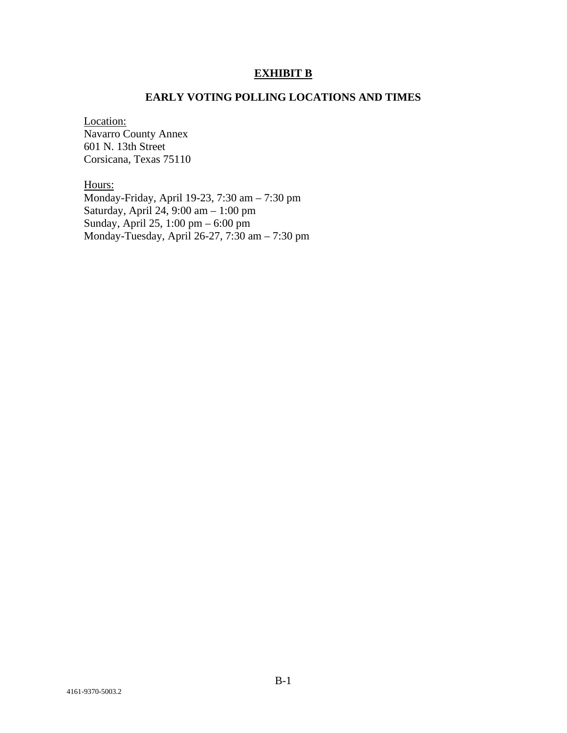### **EXHIBIT B**

### **EARLY VOTING POLLING LOCATIONS AND TIMES**

Location:

Navarro County Annex 601 N. 13th Street Corsicana, Texas 75110

Hours: Monday-Friday, April 19-23, 7:30 am – 7:30 pm Saturday, April 24, 9:00 am – 1:00 pm Sunday, April 25, 1:00 pm – 6:00 pm Monday-Tuesday, April 26-27, 7:30 am – 7:30 pm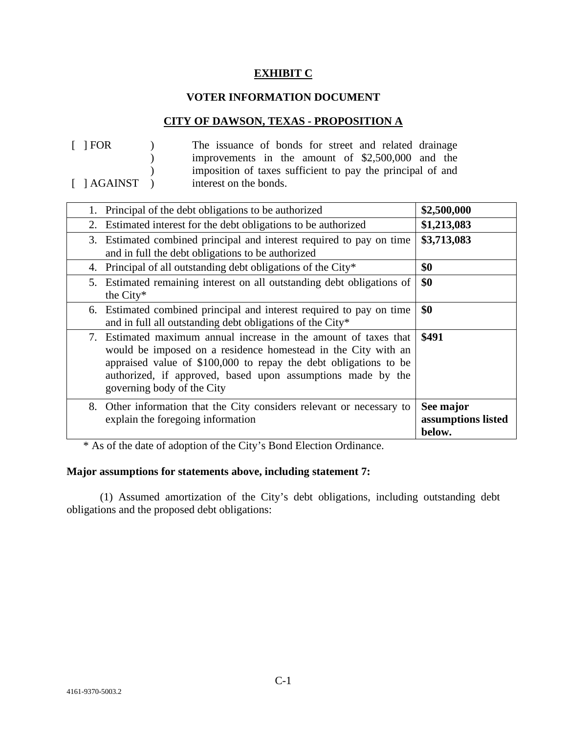### **EXHIBIT C**

### **VOTER INFORMATION DOCUMENT**

### **CITY OF DAWSON, TEXAS - PROPOSITION A**

| $\lceil$   FOR                       | The issuance of bonds for street and related drainage      |
|--------------------------------------|------------------------------------------------------------|
|                                      | improvements in the amount of \$2,500,000 and the          |
|                                      | imposition of taxes sufficient to pay the principal of and |
| $\lceil$ $\rfloor$ AGAINST $\rfloor$ | interest on the bonds.                                     |

| 1. Principal of the debt obligations to be authorized                                                                                                                                                                                                                                              | \$2,500,000                               |
|----------------------------------------------------------------------------------------------------------------------------------------------------------------------------------------------------------------------------------------------------------------------------------------------------|-------------------------------------------|
| Estimated interest for the debt obligations to be authorized<br>2.                                                                                                                                                                                                                                 | \$1,213,083                               |
| 3. Estimated combined principal and interest required to pay on time<br>and in full the debt obligations to be authorized                                                                                                                                                                          | \$3,713,083                               |
| 4. Principal of all outstanding debt obligations of the City*                                                                                                                                                                                                                                      | \$0                                       |
| Estimated remaining interest on all outstanding debt obligations of<br>5.<br>the City*                                                                                                                                                                                                             | \$0                                       |
| 6. Estimated combined principal and interest required to pay on time<br>and in full all outstanding debt obligations of the City*                                                                                                                                                                  | \$0                                       |
| 7. Estimated maximum annual increase in the amount of taxes that<br>would be imposed on a residence homestead in the City with an<br>appraised value of \$100,000 to repay the debt obligations to be<br>authorized, if approved, based upon assumptions made by the<br>governing body of the City | \$491                                     |
| 8. Other information that the City considers relevant or necessary to<br>explain the foregoing information                                                                                                                                                                                         | See major<br>assumptions listed<br>below. |

\* As of the date of adoption of the City's Bond Election Ordinance.

# **Major assumptions for statements above, including statement 7:**

(1) Assumed amortization of the City's debt obligations, including outstanding debt obligations and the proposed debt obligations: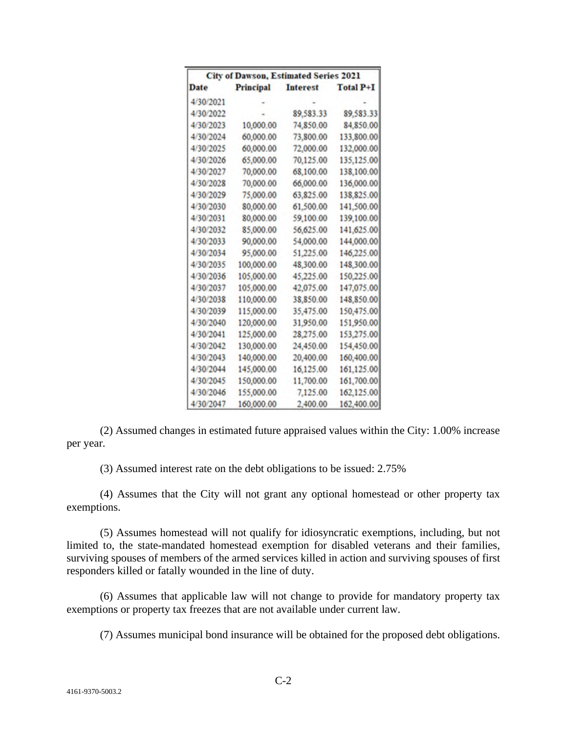| <b>City of Dawson, Estimated Series 2021</b> |            |                 |                  |  |
|----------------------------------------------|------------|-----------------|------------------|--|
| Date                                         | Principal  | <b>Interest</b> | <b>Total P+I</b> |  |
| 4/30/2021                                    |            |                 |                  |  |
| 4/30/2022                                    |            | 89,583.33       | 89,583.33        |  |
| 4/30/2023                                    | 10,000.00  | 74,850,00       | 84,850.00        |  |
| 4/30/2024                                    | 60,000.00  | 73,800.00       | 133,800.00       |  |
| 4/30/2025                                    | 60,000.00  | 72,000.00       | 132,000.00       |  |
| 4/30/2026                                    | 65,000.00  | 70,125.00       | 135,125.00       |  |
| 4/30/2027                                    | 70,000.00  | 68,100.00       | 138,100.00       |  |
| 4/30/2028                                    | 70,000.00  | 66,000.00       | 136,000.00       |  |
| 4/30/2029                                    | 75,000.00  | 63.825.00       | 138,825.00       |  |
| 4/30/2030                                    | 80,000.00  | 61,500.00       | 141,500.00       |  |
| 4/30/2031                                    | 80,000.00  | 59,100.00       | 139,100.00       |  |
| 4/30/2032                                    | 85,000.00  | 56,625.00       | 141,625.00       |  |
| 4/30/2033                                    | 90,000.00  | 54,000.00       | 144,000.00       |  |
| 4/30/2034                                    | 95,000.00  | 51,225.00       | 146,225.00       |  |
| 4/30/2035                                    | 100,000.00 | 48,300.00       | 148,300.00       |  |
| 4/30/2036                                    | 105,000.00 | 45,225.00       | 150,225.00       |  |
| 4/30/2037                                    | 105,000.00 | 42,075.00       | 147,075.00       |  |
| 4/30/2038                                    | 110,000.00 | 38,850.00       | 148,850.00       |  |
| 4/30/2039                                    | 115,000.00 | 35,475.00       | 150,475.00       |  |
| 4/30/2040                                    | 120,000.00 | 31,950.00       | 151,950.00       |  |
| 4/30/2041                                    | 125,000.00 | 28,275.00       | 153,275.00       |  |
| 4/30/2042                                    | 130,000.00 | 24,450.00       | 154,450.00       |  |
| 4/30/2043                                    | 140,000.00 | 20,400.00       | 160,400.00       |  |
| 4/30/2044                                    | 145,000.00 | 16,125.00       | 161,125.00       |  |
| 4/30/2045                                    | 150,000.00 | 11,700.00       | 161,700.00       |  |
| 4/30/2046                                    | 155,000.00 | 7,125.00        | 162,125.00       |  |
| 4/30/2047                                    | 160,000.00 | 2,400.00        | 162,400.00       |  |

(2) Assumed changes in estimated future appraised values within the City: 1.00% increase per year.

(3) Assumed interest rate on the debt obligations to be issued: 2.75%

(4) Assumes that the City will not grant any optional homestead or other property tax exemptions.

(5) Assumes homestead will not qualify for idiosyncratic exemptions, including, but not limited to, the state-mandated homestead exemption for disabled veterans and their families, surviving spouses of members of the armed services killed in action and surviving spouses of first responders killed or fatally wounded in the line of duty.

(6) Assumes that applicable law will not change to provide for mandatory property tax exemptions or property tax freezes that are not available under current law.

(7) Assumes municipal bond insurance will be obtained for the proposed debt obligations.